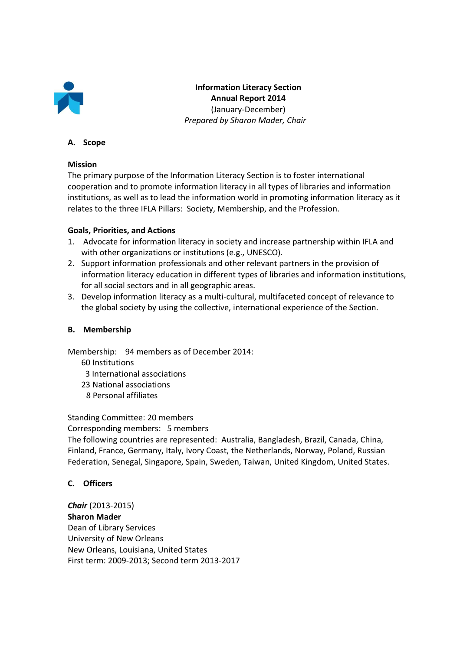

**Information Literacy Section Annual Report 2014**  (January-December)  *Prepared by Sharon Mader, Chair* 

### **A. Scope**

#### **Mission**

The primary purpose of the Information Literacy Section is to foster international cooperation and to promote information literacy in all types of libraries and information institutions, as well as to lead the information world in promoting information literacy as it relates to the three IFLA Pillars: Society, Membership, and the Profession.

### **Goals, Priorities, and Actions**

- 1. Advocate for information literacy in society and increase partnership within IFLA and with other organizations or institutions (e.g., UNESCO).
- 2. Support information professionals and other relevant partners in the provision of information literacy education in different types of libraries and information institutions, for all social sectors and in all geographic areas.
- 3. Develop information literacy as a multi-cultural, multifaceted concept of relevance to the global society by using the collective, international experience of the Section.

### **B. Membership**

Membership: 94 members as of December 2014:

- 60 Institutions
- 3 International associations
- 23 National associations
- 8 Personal affiliates

Standing Committee: 20 members

Corresponding members: 5 members

The following countries are represented: Australia, Bangladesh, Brazil, Canada, China, Finland, France, Germany, Italy, Ivory Coast, the Netherlands, Norway, Poland, Russian Federation, Senegal, Singapore, Spain, Sweden, Taiwan, United Kingdom, United States.

### **C. Officers**

*Chair* (2013-2015) **Sharon Mader**  Dean of Library Services University of New Orleans New Orleans, Louisiana, United States First term: 2009-2013; Second term 2013-2017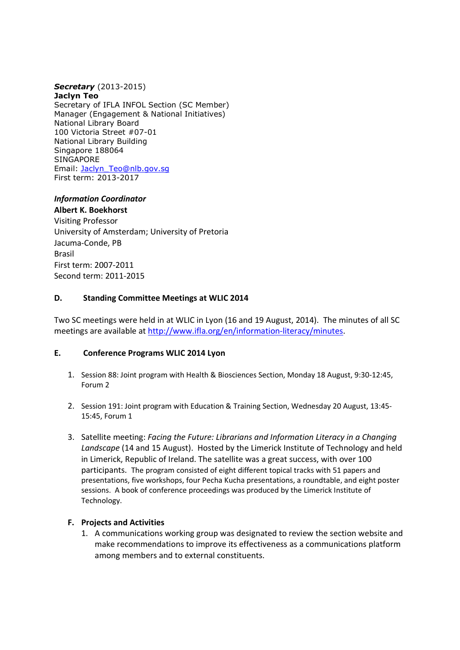## *Secretary* (2013-2015)

**Jaclyn Teo**  Secretary of IFLA INFOL Section (SC Member) Manager (Engagement & National Initiatives) National Library Board 100 Victoria Street #07-01 National Library Building Singapore 188064 **SINGAPORE** Email: Jaclyn\_Teo@nlb.gov.sg First term: 2013-2017

# *Information Coordinator*

**Albert K. Boekhorst**  Visiting Professor University of Amsterdam; University of Pretoria Jacuma-Conde, PB Brasil First term: 2007-2011 Second term: 2011-2015

## **D. Standing Committee Meetings at WLIC 2014**

Two SC meetings were held in at WLIC in Lyon (16 and 19 August, 2014). The minutes of all SC meetings are available at http://www.ifla.org/en/information-literacy/minutes.

### **E. Conference Programs WLIC 2014 Lyon**

- 1. Session 88: Joint program with Health & Biosciences Section, Monday 18 August, 9:30-12:45, Forum 2
- 2. Session 191: Joint program with Education & Training Section, Wednesday 20 August, 13:45- 15:45, Forum 1
- 3. Satellite meeting: *Facing the Future: Librarians and Information Literacy in a Changing Landscape* (14 and 15 August). Hosted by the Limerick Institute of Technology and held in Limerick, Republic of Ireland. The satellite was a great success, with over 100 participants.The program consisted of eight different topical tracks with 51 papers and presentations, five workshops, four Pecha Kucha presentations, a roundtable, and eight poster sessions. A book of conference proceedings was produced by the Limerick Institute of Technology.

### **F. Projects and Activities**

1. A communications working group was designated to review the section website and make recommendations to improve its effectiveness as a communications platform among members and to external constituents.